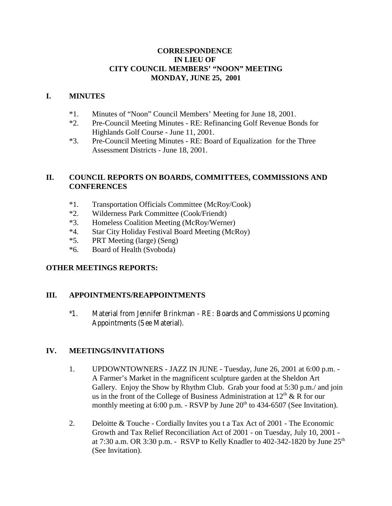### **CORRESPONDENCE IN LIEU OF CITY COUNCIL MEMBERS' "NOON" MEETING MONDAY, JUNE 25, 2001**

### **I. MINUTES**

- \*1. Minutes of "Noon" Council Members' Meeting for June 18, 2001.
- \*2. Pre-Council Meeting Minutes RE: Refinancing Golf Revenue Bonds for Highlands Golf Course - June 11, 2001.
- \*3. Pre-Council Meeting Minutes RE: Board of Equalization for the Three Assessment Districts - June 18, 2001.

# **II. COUNCIL REPORTS ON BOARDS, COMMITTEES, COMMISSIONS AND CONFERENCES**

- \*1. Transportation Officials Committee (McRoy/Cook)
- \*2. Wilderness Park Committee (Cook/Friendt)
- \*3. Homeless Coalition Meeting (McRoy/Werner)
- \*4. Star City Holiday Festival Board Meeting (McRoy)
- \*5. PRT Meeting (large) (Seng)
- \*6. Board of Health (Svoboda)

### **OTHER MEETINGS REPORTS:**

# **III. APPOINTMENTS/REAPPOINTMENTS**

\*1. Material from Jennifer Brinkman - RE: Boards and Commissions Upcoming Appointments (See Material).

# **IV. MEETINGS/INVITATIONS**

- 1. UPDOWNTOWNERS JAZZ IN JUNE Tuesday, June 26, 2001 at 6:00 p.m. A Farmer's Market in the magnificent sculpture garden at the Sheldon Art Gallery. Enjoy the Show by Rhythm Club. Grab your food at 5:30 p.m./ and join us in the front of the College of Business Administration at  $12<sup>th</sup>$  & R for our monthly meeting at  $6:00$  p.m. - RSVP by June  $20<sup>th</sup>$  to 434-6507 (See Invitation).
- 2. Deloitte & Touche Cordially Invites you t a Tax Act of 2001 The Economic Growth and Tax Relief Reconciliation Act of 2001 - on Tuesday, July 10, 2001 at 7:30 a.m. OR 3:30 p.m. - RSVP to Kelly Knadler to 402-342-1820 by June  $25<sup>th</sup>$ (See Invitation).